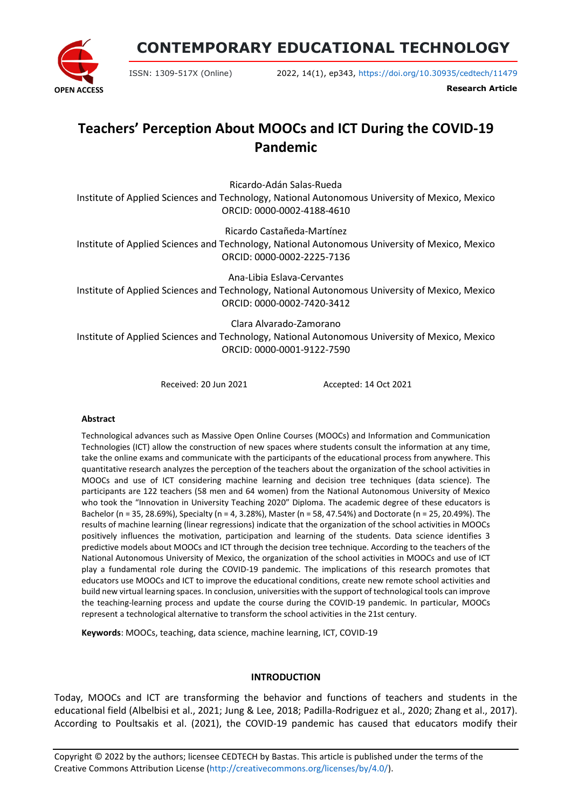**OPEN ACCESS**

**CONTEMPORARY EDUCATIONAL TECHNOLOGY**

ISSN: 1309-517X (Online) 2022, 14(1), ep343, <https://doi.org/10.30935/cedtech/11479>

**Research Article**

# **Teachers' Perception About MOOCs and ICT During the COVID-19 Pandemic**

Ricardo-Adán Salas-Rueda

Institute of Applied Sciences and Technology, National Autonomous University of Mexico, Mexico ORCID: 0000-0002-4188-4610

Ricardo Castañeda-Martínez

Institute of Applied Sciences and Technology, National Autonomous University of Mexico, Mexico ORCID: 0000-0002-2225-7136

Ana-Libia Eslava-Cervantes Institute of Applied Sciences and Technology, National Autonomous University of Mexico, Mexico ORCID: 0000-0002-7420-3412

Clara Alvarado-Zamorano Institute of Applied Sciences and Technology, National Autonomous University of Mexico, Mexico ORCID: 0000-0001-9122-7590

Received: 20 Jun 2021 Accepted: 14 Oct 2021

## **Abstract**

Technological advances such as Massive Open Online Courses (MOOCs) and Information and Communication Technologies (ICT) allow the construction of new spaces where students consult the information at any time, take the online exams and communicate with the participants of the educational process from anywhere. This quantitative research analyzes the perception of the teachers about the organization of the school activities in MOOCs and use of ICT considering machine learning and decision tree techniques (data science). The participants are 122 teachers (58 men and 64 women) from the National Autonomous University of Mexico who took the "Innovation in University Teaching 2020" Diploma. The academic degree of these educators is Bachelor (n = 35, 28.69%), Specialty (n = 4, 3.28%), Master (n = 58, 47.54%) and Doctorate (n = 25, 20.49%). The results of machine learning (linear regressions) indicate that the organization of the school activities in MOOCs positively influences the motivation, participation and learning of the students. Data science identifies 3 predictive models about MOOCs and ICT through the decision tree technique. According to the teachers of the National Autonomous University of Mexico, the organization of the school activities in MOOCs and use of ICT play a fundamental role during the COVID-19 pandemic. The implications of this research promotes that educators use MOOCs and ICT to improve the educational conditions, create new remote school activities and build new virtual learning spaces. In conclusion, universities with the support of technological tools can improve the teaching-learning process and update the course during the COVID-19 pandemic. In particular, MOOCs represent a technological alternative to transform the school activities in the 21st century.

**Keywords**: MOOCs, teaching, data science, machine learning, ICT, COVID-19

## **INTRODUCTION**

Today, MOOCs and ICT are transforming the behavior and functions of teachers and students in the educational field (Albelbisi et al., 2021; Jung & Lee, 2018; Padilla-Rodriguez et al., 2020; Zhang et al., 2017). According to Poultsakis et al. (2021), the COVID-19 pandemic has caused that educators modify their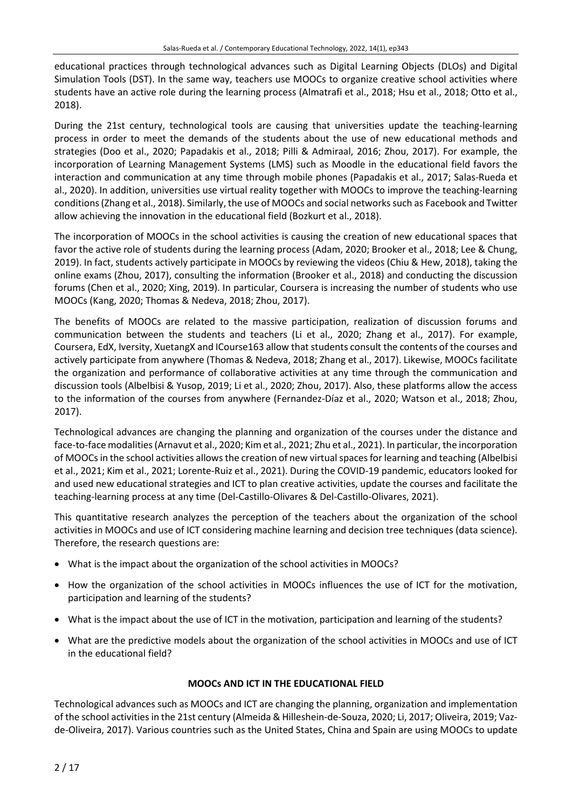educational practices through technological advances such as Digital Learning Objects (DLOs) and Digital Simulation Tools (DST). In the same way, teachers use MOOCs to organize creative school activities where students have an active role during the learning process (Almatrafi et al., 2018; Hsu et al., 2018; Otto et al., 2018).

During the 21st century, technological tools are causing that universities update the teaching-learning process in order to meet the demands of the students about the use of new educational methods and strategies (Doo et al., 2020; Papadakis et al., 2018; Pilli & Admiraal, 2016; Zhou, 2017). For example, the incorporation of Learning Management Systems (LMS) such as Moodle in the educational field favors the interaction and communication at any time through mobile phones (Papadakis et al., 2017; Salas-Rueda et al., 2020). In addition, universities use virtual reality together with MOOCs to improve the teaching-learning conditions(Zhang et al., 2018). Similarly, the use of MOOCs and social networkssuch as Facebook and Twitter allow achieving the innovation in the educational field (Bozkurt et al., 2018).

The incorporation of MOOCs in the school activities is causing the creation of new educational spaces that favor the active role of students during the learning process (Adam, 2020; Brooker et al., 2018; Lee & Chung, 2019). In fact, students actively participate in MOOCs by reviewing the videos (Chiu & Hew, 2018), taking the online exams (Zhou, 2017), consulting the information (Brooker et al., 2018) and conducting the discussion forums (Chen et al., 2020; Xing, 2019). In particular, Coursera is increasing the number of students who use MOOCs (Kang, 2020; Thomas & Nedeva, 2018; Zhou, 2017).

The benefits of MOOCs are related to the massive participation, realization of discussion forums and communication between the students and teachers (Li et al., 2020; Zhang et al., 2017). For example, Coursera, EdX, Iversity, XuetangX and ICourse163 allow that students consult the contents of the courses and actively participate from anywhere (Thomas & Nedeva, 2018; Zhang et al., 2017). Likewise, MOOCs facilitate the organization and performance of collaborative activities at any time through the communication and discussion tools (Albelbisi & Yusop, 2019; Li et al., 2020; Zhou, 2017). Also, these platforms allow the access to the information of the courses from anywhere (Fernandez-Díaz et al., 2020; Watson et al., 2018; Zhou, 2017).

Technological advances are changing the planning and organization of the courses under the distance and face-to-face modalities(Arnavut et al., 2020; Kim et al., 2021; Zhu et al., 2021). In particular, the incorporation of MOOCs in the school activities allows the creation of new virtual spaces for learning and teaching (Albelbisi et al., 2021; Kim et al., 2021; Lorente-Ruiz et al., 2021). During the COVID-19 pandemic, educators looked for and used new educational strategies and ICT to plan creative activities, update the courses and facilitate the teaching-learning process at any time (Del-Castillo-Olivares & Del-Castillo-Olivares, 2021).

This quantitative research analyzes the perception of the teachers about the organization of the school activities in MOOCs and use of ICT considering machine learning and decision tree techniques (data science). Therefore, the research questions are:

- What is the impact about the organization of the school activities in MOOCs?
- How the organization of the school activities in MOOCs influences the use of ICT for the motivation, participation and learning of the students?
- What is the impact about the use of ICT in the motivation, participation and learning of the students?
- What are the predictive models about the organization of the school activities in MOOCs and use of ICT in the educational field?

## **MOOCs AND ICT IN THE EDUCATIONAL FIELD**

Technological advances such as MOOCs and ICT are changing the planning, organization and implementation of the school activitiesin the 21st century (Almeida & Hilleshein-de-Souza, 2020; Li, 2017; Oliveira, 2019; Vazde-Oliveira, 2017). Various countries such as the United States, China and Spain are using MOOCs to update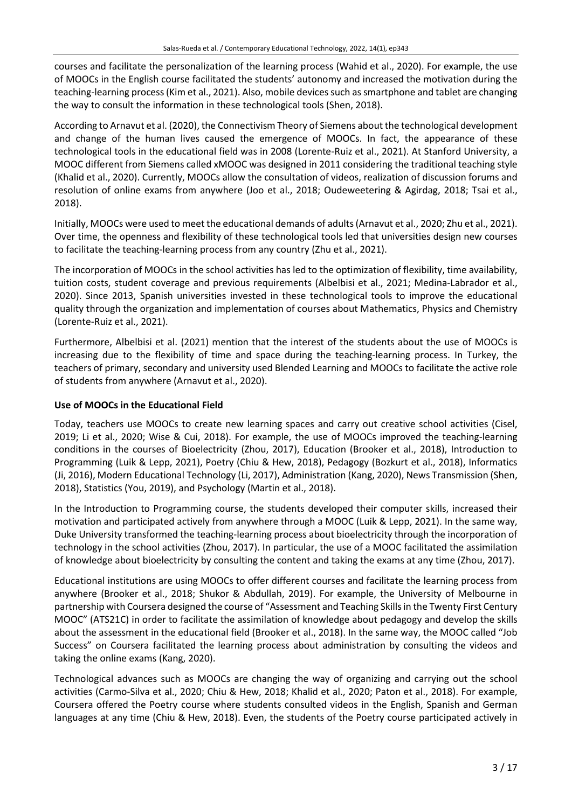courses and facilitate the personalization of the learning process (Wahid et al., 2020). For example, the use of MOOCs in the English course facilitated the students' autonomy and increased the motivation during the teaching-learning process (Kim et al., 2021). Also, mobile devices such as smartphone and tablet are changing the way to consult the information in these technological tools (Shen, 2018).

According to Arnavut et al. (2020), the Connectivism Theory of Siemens about the technological development and change of the human lives caused the emergence of MOOCs. In fact, the appearance of these technological tools in the educational field was in 2008 (Lorente-Ruiz et al., 2021). At Stanford University, a MOOC different from Siemens called xMOOC was designed in 2011 considering the traditional teaching style (Khalid et al., 2020). Currently, MOOCs allow the consultation of videos, realization of discussion forums and resolution of online exams from anywhere (Joo et al., 2018; Oudeweetering & Agirdag, 2018; Tsai et al., 2018).

Initially, MOOCs were used to meet the educational demands of adults(Arnavut et al., 2020; Zhu et al., 2021). Over time, the openness and flexibility of these technological tools led that universities design new courses to facilitate the teaching-learning process from any country (Zhu et al., 2021).

The incorporation of MOOCs in the school activities has led to the optimization of flexibility, time availability, tuition costs, student coverage and previous requirements (Albelbisi et al., 2021; Medina-Labrador et al., 2020). Since 2013, Spanish universities invested in these technological tools to improve the educational quality through the organization and implementation of courses about Mathematics, Physics and Chemistry (Lorente-Ruiz et al., 2021).

Furthermore, Albelbisi et al. (2021) mention that the interest of the students about the use of MOOCs is increasing due to the flexibility of time and space during the teaching-learning process. In Turkey, the teachers of primary, secondary and university used Blended Learning and MOOCs to facilitate the active role of students from anywhere (Arnavut et al., 2020).

# **Use of MOOCs in the Educational Field**

Today, teachers use MOOCs to create new learning spaces and carry out creative school activities (Cisel, 2019; Li et al., 2020; Wise & Cui, 2018). For example, the use of MOOCs improved the teaching-learning conditions in the courses of Bioelectricity (Zhou, 2017), Education (Brooker et al., 2018), Introduction to Programming (Luik & Lepp, 2021), Poetry (Chiu & Hew, 2018), Pedagogy (Bozkurt et al., 2018), Informatics (Ji, 2016), Modern Educational Technology (Li, 2017), Administration (Kang, 2020), News Transmission (Shen, 2018), Statistics (You, 2019), and Psychology (Martin et al., 2018).

In the Introduction to Programming course, the students developed their computer skills, increased their motivation and participated actively from anywhere through a MOOC (Luik & Lepp, 2021). In the same way, Duke University transformed the teaching-learning process about bioelectricity through the incorporation of technology in the school activities (Zhou, 2017). In particular, the use of a MOOC facilitated the assimilation of knowledge about bioelectricity by consulting the content and taking the exams at any time (Zhou, 2017).

Educational institutions are using MOOCs to offer different courses and facilitate the learning process from anywhere (Brooker et al., 2018; Shukor & Abdullah, 2019). For example, the University of Melbourne in partnership with Coursera designed the course of "Assessment and Teaching Skillsin the Twenty First Century MOOC" (ATS21C) in order to facilitate the assimilation of knowledge about pedagogy and develop the skills about the assessment in the educational field (Brooker et al., 2018). In the same way, the MOOC called "Job Success" on Coursera facilitated the learning process about administration by consulting the videos and taking the online exams (Kang, 2020).

Technological advances such as MOOCs are changing the way of organizing and carrying out the school activities (Carmo-Silva et al., 2020; Chiu & Hew, 2018; Khalid et al., 2020; Paton et al., 2018). For example, Coursera offered the Poetry course where students consulted videos in the English, Spanish and German languages at any time (Chiu & Hew, 2018). Even, the students of the Poetry course participated actively in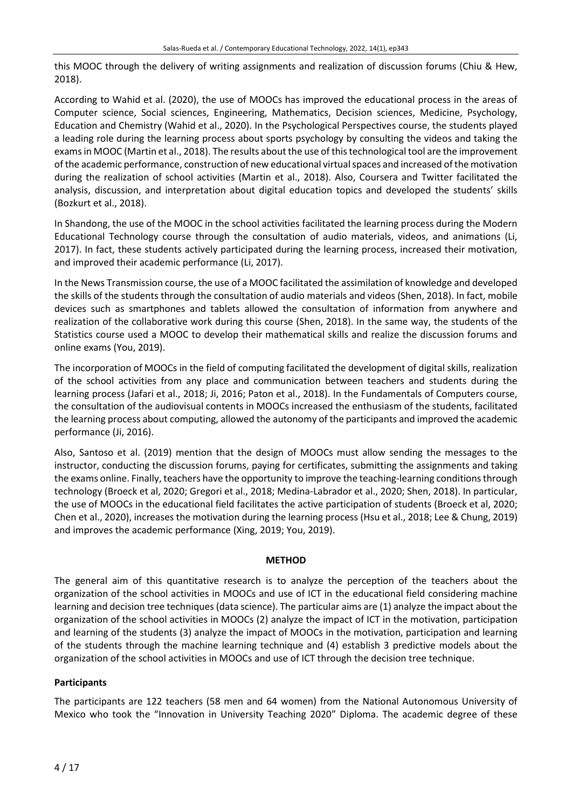this MOOC through the delivery of writing assignments and realization of discussion forums (Chiu & Hew, 2018).

According to Wahid et al. (2020), the use of MOOCs has improved the educational process in the areas of Computer science, Social sciences, Engineering, Mathematics, Decision sciences, Medicine, Psychology, Education and Chemistry (Wahid et al., 2020). In the Psychological Perspectives course, the students played a leading role during the learning process about sports psychology by consulting the videos and taking the exams in MOOC (Martin et al., 2018). The results about the use of this technological tool are the improvement of the academic performance, construction of new educational virtualspaces and increased ofthe motivation during the realization of school activities (Martin et al., 2018). Also, Coursera and Twitter facilitated the analysis, discussion, and interpretation about digital education topics and developed the students' skills (Bozkurt et al., 2018).

In Shandong, the use of the MOOC in the school activities facilitated the learning process during the Modern Educational Technology course through the consultation of audio materials, videos, and animations (Li, 2017). In fact, these students actively participated during the learning process, increased their motivation, and improved their academic performance (Li, 2017).

In the News Transmission course, the use of a MOOC facilitated the assimilation of knowledge and developed the skills of the students through the consultation of audio materials and videos (Shen, 2018). In fact, mobile devices such as smartphones and tablets allowed the consultation of information from anywhere and realization of the collaborative work during this course (Shen, 2018). In the same way, the students of the Statistics course used a MOOC to develop their mathematical skills and realize the discussion forums and online exams (You, 2019).

The incorporation of MOOCs in the field of computing facilitated the development of digital skills, realization of the school activities from any place and communication between teachers and students during the learning process (Jafari et al., 2018; Ji, 2016; Paton et al., 2018). In the Fundamentals of Computers course, the consultation of the audiovisual contents in MOOCs increased the enthusiasm of the students, facilitated the learning process about computing, allowed the autonomy of the participants and improved the academic performance (Ji, 2016).

Also, Santoso et al. (2019) mention that the design of MOOCs must allow sending the messages to the instructor, conducting the discussion forums, paying for certificates, submitting the assignments and taking the exams online. Finally, teachers have the opportunity to improve the teaching-learning conditionsthrough technology (Broeck et al, 2020; Gregori et al., 2018; Medina-Labrador et al., 2020; Shen, 2018). In particular, the use of MOOCs in the educational field facilitates the active participation of students (Broeck et al, 2020; Chen et al., 2020), increases the motivation during the learning process (Hsu et al., 2018; Lee & Chung, 2019) and improves the academic performance (Xing, 2019; You, 2019).

## **METHOD**

The general aim of this quantitative research is to analyze the perception of the teachers about the organization of the school activities in MOOCs and use of ICT in the educational field considering machine learning and decision tree techniques (data science). The particular aims are (1) analyze the impact about the organization of the school activities in MOOCs (2) analyze the impact of ICT in the motivation, participation and learning of the students (3) analyze the impact of MOOCs in the motivation, participation and learning of the students through the machine learning technique and (4) establish 3 predictive models about the organization of the school activities in MOOCs and use of ICT through the decision tree technique.

## **Participants**

The participants are 122 teachers (58 men and 64 women) from the National Autonomous University of Mexico who took the "Innovation in University Teaching 2020" Diploma. The academic degree of these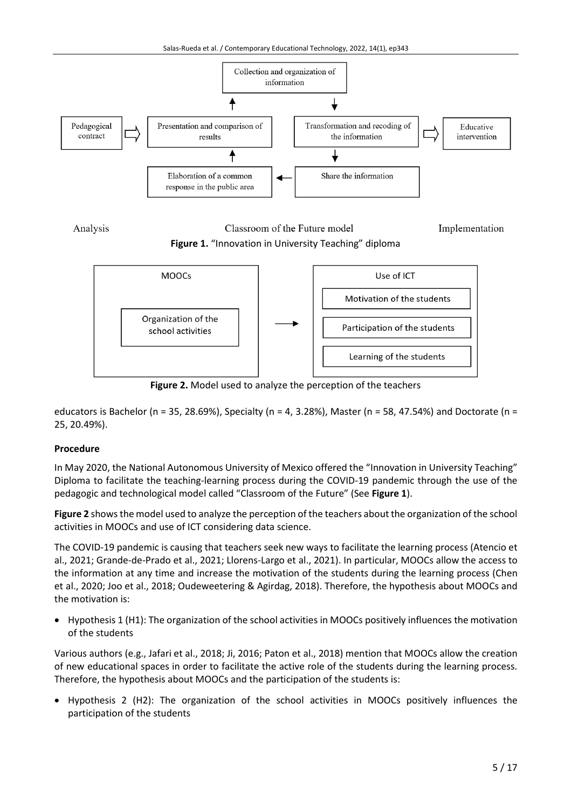

Analysis Classroom of the Future model Implementation **Figure 1.** "Innovation in University Teaching" diploma



**Figure 2.** Model used to analyze the perception of the teachers

educators is Bachelor (n = 35, 28.69%), Specialty (n = 4, 3.28%), Master (n = 58, 47.54%) and Doctorate (n = 25, 20.49%).

## **Procedure**

In May 2020, the National Autonomous University of Mexico offered the "Innovation in University Teaching" Diploma to facilitate the teaching-learning process during the COVID-19 pandemic through the use of the pedagogic and technological model called "Classroom of the Future" (See **Figure 1**).

**Figure 2** showsthe model used to analyze the perception of the teachers about the organization of the school activities in MOOCs and use of ICT considering data science.

The COVID-19 pandemic is causing that teachers seek new ways to facilitate the learning process (Atencio et al., 2021; Grande-de-Prado et al., 2021; Llorens-Largo et al., 2021). In particular, MOOCs allow the access to the information at any time and increase the motivation of the students during the learning process (Chen et al., 2020; Joo et al., 2018; Oudeweetering & Agirdag, 2018). Therefore, the hypothesis about MOOCs and the motivation is:

• Hypothesis 1 (H1): The organization of the school activities in MOOCs positively influences the motivation of the students

Various authors (e.g., Jafari et al., 2018; Ji, 2016; Paton et al., 2018) mention that MOOCs allow the creation of new educational spaces in order to facilitate the active role of the students during the learning process. Therefore, the hypothesis about MOOCs and the participation of the students is:

• Hypothesis 2 (H2): The organization of the school activities in MOOCs positively influences the participation of the students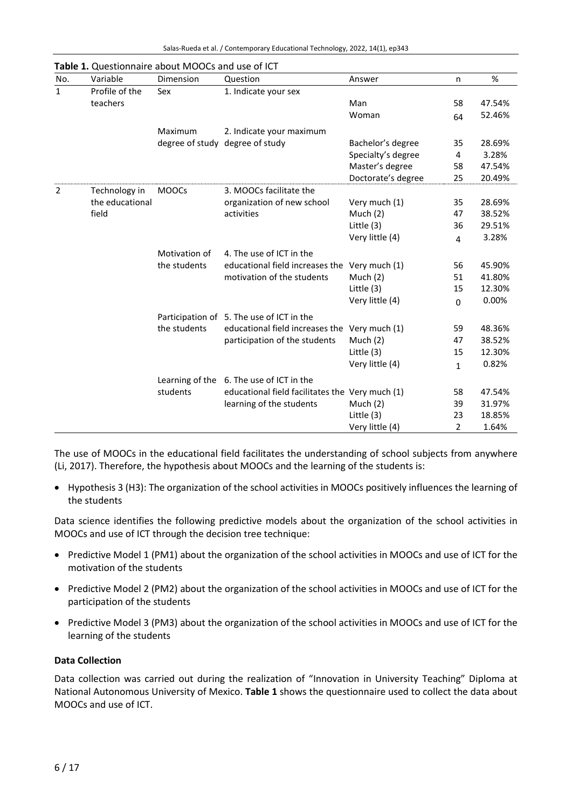| No.            | Variable        | Dimension       | Question                                        | Answer             | n            | $\%$   |
|----------------|-----------------|-----------------|-------------------------------------------------|--------------------|--------------|--------|
| $\mathbf{1}$   | Profile of the  | Sex             | 1. Indicate your sex                            |                    |              |        |
|                | teachers        |                 |                                                 | Man                | 58           | 47.54% |
|                |                 |                 |                                                 | Woman              | 64           | 52.46% |
|                |                 | Maximum         | 2. Indicate your maximum                        |                    |              |        |
|                |                 |                 | degree of study degree of study                 | Bachelor's degree  | 35           | 28.69% |
|                |                 |                 |                                                 | Specialty's degree | 4            | 3.28%  |
|                |                 |                 |                                                 | Master's degree    | 58           | 47.54% |
|                |                 |                 |                                                 | Doctorate's degree | 25           | 20.49% |
| $\overline{2}$ | Technology in   | <b>MOOCs</b>    | 3. MOOCs facilitate the                         |                    |              |        |
|                | the educational |                 | organization of new school                      | Very much (1)      | 35           | 28.69% |
|                | field           |                 | activities                                      | Much $(2)$         | 47           | 38.52% |
|                |                 |                 |                                                 | Little (3)         | 36           | 29.51% |
|                |                 |                 |                                                 | Very little (4)    | 4            | 3.28%  |
|                |                 | Motivation of   | 4. The use of ICT in the                        |                    |              |        |
|                |                 | the students    | educational field increases the Very much (1)   |                    | 56           | 45.90% |
|                |                 |                 | motivation of the students                      | Much $(2)$         | 51           | 41.80% |
|                |                 |                 |                                                 | Little (3)         | 15           | 12.30% |
|                |                 |                 |                                                 | Very little (4)    | $\Omega$     | 0.00%  |
|                |                 |                 | Participation of 5. The use of ICT in the       |                    |              |        |
|                |                 | the students    | educational field increases the Very much (1)   |                    | 59           | 48.36% |
|                |                 |                 | participation of the students                   | Much $(2)$         | 47           | 38.52% |
|                |                 |                 |                                                 | Little (3)         | 15           | 12.30% |
|                |                 |                 |                                                 | Very little (4)    | $\mathbf{1}$ | 0.82%  |
|                |                 | Learning of the | 6. The use of ICT in the                        |                    |              |        |
|                |                 | students        | educational field facilitates the Very much (1) |                    | 58           | 47.54% |
|                |                 |                 | learning of the students                        | Much $(2)$         | 39           | 31.97% |
|                |                 |                 |                                                 | Little (3)         | 23           | 18.85% |
|                |                 |                 |                                                 | Very little (4)    | 2            | 1.64%  |

**Table 1.** Questionnaire about MOOCs and use of ICT

The use of MOOCs in the educational field facilitates the understanding of school subjects from anywhere (Li, 2017). Therefore, the hypothesis about MOOCs and the learning of the students is:

• Hypothesis 3 (H3): The organization of the school activities in MOOCs positively influences the learning of the students

Data science identifies the following predictive models about the organization of the school activities in MOOCs and use of ICT through the decision tree technique:

- Predictive Model 1 (PM1) about the organization of the school activities in MOOCs and use of ICT for the motivation of the students
- Predictive Model 2 (PM2) about the organization of the school activities in MOOCs and use of ICT for the participation of the students
- Predictive Model 3 (PM3) about the organization of the school activities in MOOCs and use of ICT for the learning of the students

## **Data Collection**

Data collection was carried out during the realization of "Innovation in University Teaching" Diploma at National Autonomous University of Mexico. **Table 1** shows the questionnaire used to collect the data about MOOCs and use of ICT.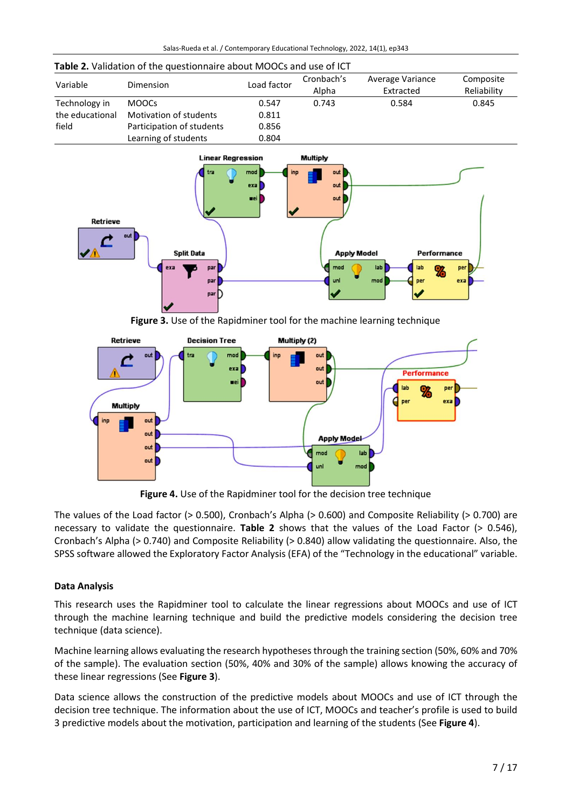| Variable        | Dimension                 | Load factor | Cronbach's<br>Alpha | Average Variance<br>Extracted | Composite<br>Reliability |
|-----------------|---------------------------|-------------|---------------------|-------------------------------|--------------------------|
| Technology in   | <b>MOOCS</b>              | 0.547       | 0.743               | 0.584                         | 0.845                    |
| the educational | Motivation of students    | 0.811       |                     |                               |                          |
| field           | Participation of students | 0.856       |                     |                               |                          |
|                 | Learning of students      | 0.804       |                     |                               |                          |

#### **Table 2.** Validation of the questionnaire about MOOCs and use of ICT



**Figure 3.** Use of the Rapidminer tool for the machine learning technique



**Figure 4.** Use of the Rapidminer tool for the decision tree technique

The values of the Load factor (> 0.500), Cronbach's Alpha (> 0.600) and Composite Reliability (> 0.700) are necessary to validate the questionnaire. **Table 2** shows that the values of the Load Factor (> 0.546), Cronbach's Alpha (> 0.740) and Composite Reliability (> 0.840) allow validating the questionnaire. Also, the SPSS software allowed the Exploratory Factor Analysis (EFA) of the "Technology in the educational" variable.

## **Data Analysis**

This research uses the Rapidminer tool to calculate the linear regressions about MOOCs and use of ICT through the machine learning technique and build the predictive models considering the decision tree technique (data science).

Machine learning allows evaluating the research hypothesesthrough the training section (50%, 60% and 70% of the sample). The evaluation section (50%, 40% and 30% of the sample) allows knowing the accuracy of these linear regressions (See **Figure 3**).

Data science allows the construction of the predictive models about MOOCs and use of ICT through the decision tree technique. The information about the use of ICT, MOOCs and teacher's profile is used to build 3 predictive models about the motivation, participation and learning of the students (See **Figure 4**).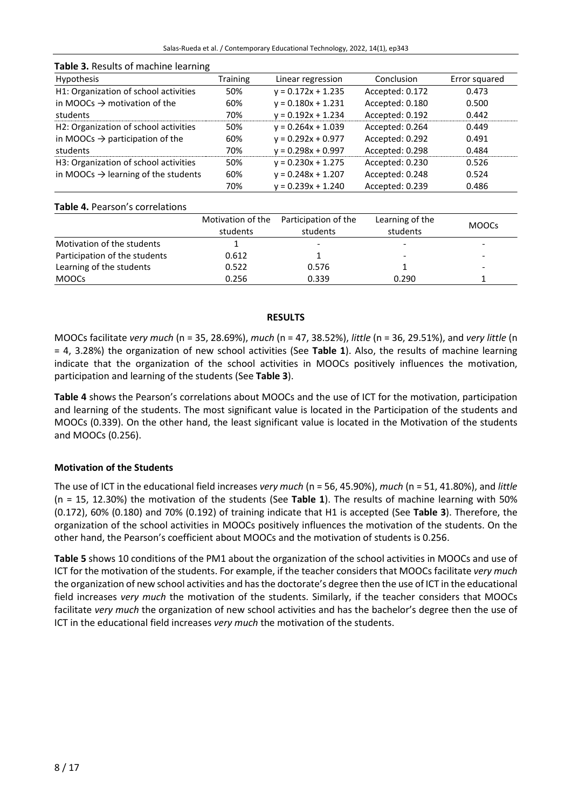| <b>Hypothesis</b>                                  | <b>Training</b> | Linear regression    | Conclusion      | Error squared |  |  |  |
|----------------------------------------------------|-----------------|----------------------|-----------------|---------------|--|--|--|
| H1: Organization of school activities              | 50%             | $y = 0.172x + 1.235$ | Accepted: 0.172 | 0.473         |  |  |  |
| in MOOCs $\rightarrow$ motivation of the           | 60%             | $y = 0.180x + 1.231$ | Accepted: 0.180 | 0.500         |  |  |  |
| students                                           | 70%             | $y = 0.192x + 1.234$ | Accepted: 0.192 | 0.442         |  |  |  |
| H2: Organization of school activities              | 50%             | $y = 0.264x + 1.039$ | Accepted: 0.264 | 0.449         |  |  |  |
| in MOOCs $\rightarrow$ participation of the        | 60%             | $y = 0.292x + 0.977$ | Accepted: 0.292 | 0.491         |  |  |  |
| students                                           | 70%             | $y = 0.298x + 0.997$ | Accepted: 0.298 | 0.484         |  |  |  |
| H <sub>3</sub> : Organization of school activities | 50%             | $y = 0.230x + 1.275$ | Accepted: 0.230 | 0.526         |  |  |  |
| in MOOCs $\rightarrow$ learning of the students    | 60%             | $y = 0.248x + 1.207$ | Accepted: 0.248 | 0.524         |  |  |  |
|                                                    | 70%             | $y = 0.239x + 1.240$ | Accepted: 0.239 | 0.486         |  |  |  |

## **Table 3.** Results of machine learning

## **Table 4.** Pearson's correlations

|                               | Motivation of the<br>students | Participation of the<br>students | Learning of the<br>students | <b>MOOCS</b> |
|-------------------------------|-------------------------------|----------------------------------|-----------------------------|--------------|
| Motivation of the students    |                               |                                  | ٠                           | -            |
| Participation of the students | 0.612                         |                                  | ۰                           | -            |
| Learning of the students      | 0.522                         | 0.576                            |                             | -            |
| <b>MOOCS</b>                  | 0.256                         | 0.339                            | 0.290                       |              |

## **RESULTS**

MOOCs facilitate *very much* (n = 35, 28.69%), *much* (n = 47, 38.52%), *little* (n = 36, 29.51%), and *very little* (n = 4, 3.28%) the organization of new school activities (See **Table 1**). Also, the results of machine learning indicate that the organization of the school activities in MOOCs positively influences the motivation, participation and learning of the students (See **Table 3**).

**Table 4** shows the Pearson's correlations about MOOCs and the use of ICT for the motivation, participation and learning of the students. The most significant value is located in the Participation of the students and MOOCs (0.339). On the other hand, the least significant value is located in the Motivation of the students and MOOCs (0.256).

## **Motivation of the Students**

The use of ICT in the educational field increases *very much* (n = 56, 45.90%), *much* (n = 51, 41.80%), and *little* (n = 15, 12.30%) the motivation of the students (See **Table 1**). The results of machine learning with 50% (0.172), 60% (0.180) and 70% (0.192) of training indicate that H1 is accepted (See **Table 3**). Therefore, the organization of the school activities in MOOCs positively influences the motivation of the students. On the other hand, the Pearson's coefficient about MOOCs and the motivation of students is 0.256.

**Table 5** shows 10 conditions of the PM1 about the organization of the school activities in MOOCs and use of ICT for the motivation of the students. For example, if the teacher considers that MOOCs facilitate *very much* the organization of new school activities and hasthe doctorate's degree then the use of ICT in the educational field increases *very much* the motivation of the students. Similarly, if the teacher considers that MOOCs facilitate *very much* the organization of new school activities and has the bachelor's degree then the use of ICT in the educational field increases *very much* the motivation of the students.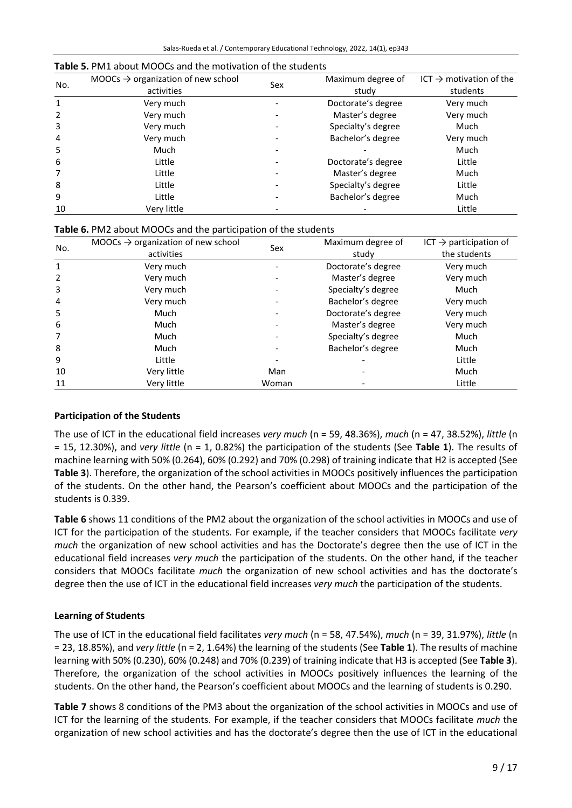| No.          | $MOOCs \rightarrow$ organization of new school | Sex | Maximum degree of  | ICT $\rightarrow$ motivation of the |  |
|--------------|------------------------------------------------|-----|--------------------|-------------------------------------|--|
|              | activities                                     |     | study              | students                            |  |
| $\mathbf{1}$ | Very much                                      |     | Doctorate's degree | Very much                           |  |
| 2            | Very much                                      |     | Master's degree    | Very much                           |  |
| 3            | Very much                                      |     | Specialty's degree | Much                                |  |
| 4            | Very much                                      |     | Bachelor's degree  | Very much                           |  |
| 5            | Much                                           |     |                    | Much                                |  |
| 6            | Little                                         |     | Doctorate's degree | Little                              |  |
|              | Little                                         |     | Master's degree    | Much                                |  |
| 8            | Little                                         |     | Specialty's degree | Little                              |  |
| 9            | Little                                         |     | Bachelor's degree  | Much                                |  |
| 10           | Very little                                    |     |                    | Little                              |  |

#### **Table 5.** PM1 about MOOCs and the motivation of the students

|  |  |  |  | Table 6. PM2 about MOOCs and the participation of the students |
|--|--|--|--|----------------------------------------------------------------|
|--|--|--|--|----------------------------------------------------------------|

| No.          | MOOCs $\rightarrow$ organization of new school | Sex   | Maximum degree of  | ICT $\rightarrow$ participation of |  |
|--------------|------------------------------------------------|-------|--------------------|------------------------------------|--|
|              | activities                                     |       | study              | the students                       |  |
| $\mathbf{1}$ | Very much                                      |       | Doctorate's degree | Very much                          |  |
| 2            | Very much                                      |       | Master's degree    | Very much                          |  |
| 3            | Very much                                      |       | Specialty's degree | Much                               |  |
| 4            | Very much                                      |       | Bachelor's degree  | Very much                          |  |
| 5            | Much                                           |       | Doctorate's degree | Very much                          |  |
| 6            | Much                                           |       | Master's degree    | Very much                          |  |
|              | Much                                           |       | Specialty's degree | Much                               |  |
| 8            | Much                                           |       | Bachelor's degree  | Much                               |  |
| 9            | Little                                         |       |                    | Little                             |  |
| 10           | Very little                                    | Man   |                    | Much                               |  |
| 11           | Very little                                    | Woman |                    | Little                             |  |

#### **Participation of the Students**

The use of ICT in the educational field increases *very much* (n = 59, 48.36%), *much* (n = 47, 38.52%), *little* (n = 15, 12.30%), and *very little* (n = 1, 0.82%) the participation of the students (See **Table 1**). The results of machine learning with 50% (0.264), 60% (0.292) and 70% (0.298) of training indicate that H2 is accepted (See **Table 3**). Therefore, the organization of the school activities in MOOCs positively influences the participation of the students. On the other hand, the Pearson's coefficient about MOOCs and the participation of the students is 0.339.

**Table 6** shows 11 conditions of the PM2 about the organization of the school activities in MOOCs and use of ICT for the participation of the students. For example, if the teacher considers that MOOCs facilitate *very much* the organization of new school activities and has the Doctorate's degree then the use of ICT in the educational field increases *very much* the participation of the students. On the other hand, if the teacher considers that MOOCs facilitate *much* the organization of new school activities and has the doctorate's degree then the use of ICT in the educational field increases *very much* the participation of the students.

## **Learning of Students**

The use of ICT in the educational field facilitates *very much* (n = 58, 47.54%), *much* (n = 39, 31.97%), *little* (n = 23, 18.85%), and *very little* (n = 2, 1.64%) the learning of the students (See **Table 1**). The results of machine learning with 50% (0.230), 60% (0.248) and 70% (0.239) of training indicate that H3 is accepted (See **Table 3**). Therefore, the organization of the school activities in MOOCs positively influences the learning of the students. On the other hand, the Pearson's coefficient about MOOCs and the learning of students is 0.290.

**Table 7** shows 8 conditions of the PM3 about the organization of the school activities in MOOCs and use of ICT for the learning of the students. For example, if the teacher considers that MOOCs facilitate *much* the organization of new school activities and has the doctorate's degree then the use of ICT in the educational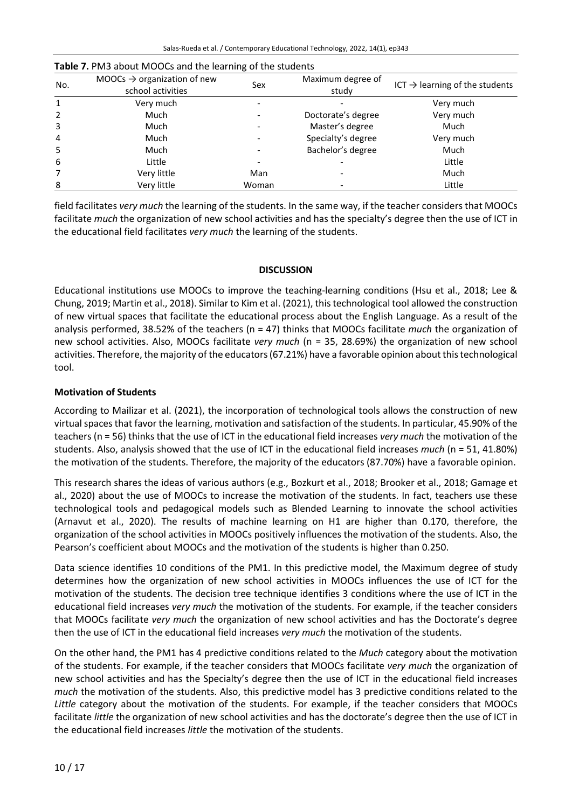| No. | MOOCs $\rightarrow$ organization of new<br>school activities | Sex   | Maximum degree of<br>study | $ICT \rightarrow learning$ of the students |
|-----|--------------------------------------------------------------|-------|----------------------------|--------------------------------------------|
| 1   | Very much                                                    |       |                            | Very much                                  |
| 2   | Much                                                         |       | Doctorate's degree         | Very much                                  |
| 3   | Much                                                         |       | Master's degree            | Much                                       |
| 4   | Much                                                         |       | Specialty's degree         | Very much                                  |
| 5   | Much                                                         |       | Bachelor's degree          | Much                                       |
| 6   | Little                                                       |       |                            | Little                                     |
| 7   | Very little                                                  | Man   |                            | Much                                       |
| 8   | Very little                                                  | Woman |                            | Little                                     |

#### **Table 7.** PM3 about MOOCs and the learning of the students

field facilitates *very much* the learning of the students. In the same way, if the teacher considers that MOOCs facilitate *much* the organization of new school activities and has the specialty's degree then the use of ICT in the educational field facilitates *very much* the learning of the students.

## **DISCUSSION**

Educational institutions use MOOCs to improve the teaching-learning conditions (Hsu et al., 2018; Lee & Chung, 2019; Martin et al., 2018). Similar to Kim et al. (2021), thistechnological tool allowed the construction of new virtual spaces that facilitate the educational process about the English Language. As a result of the analysis performed, 38.52% of the teachers (n = 47) thinks that MOOCs facilitate *much* the organization of new school activities. Also, MOOCs facilitate *very much* (n = 35, 28.69%) the organization of new school activities. Therefore, the majority of the educators (67.21%) have a favorable opinion about this technological tool.

# **Motivation of Students**

According to Mailizar et al. (2021), the incorporation of technological tools allows the construction of new virtual spacesthat favor the learning, motivation and satisfaction of the students. In particular, 45.90% of the teachers (n = 56) thinks that the use of ICT in the educational field increases *very much* the motivation of the students. Also, analysis showed that the use of ICT in the educational field increases *much* (n = 51, 41.80%) the motivation of the students. Therefore, the majority of the educators (87.70%) have a favorable opinion.

This research shares the ideas of various authors (e.g., Bozkurt et al., 2018; Brooker et al., 2018; Gamage et al., 2020) about the use of MOOCs to increase the motivation of the students. In fact, teachers use these technological tools and pedagogical models such as Blended Learning to innovate the school activities (Arnavut et al., 2020). The results of machine learning on H1 are higher than 0.170, therefore, the organization of the school activities in MOOCs positively influences the motivation of the students. Also, the Pearson's coefficient about MOOCs and the motivation of the students is higher than 0.250.

Data science identifies 10 conditions of the PM1. In this predictive model, the Maximum degree of study determines how the organization of new school activities in MOOCs influences the use of ICT for the motivation of the students. The decision tree technique identifies 3 conditions where the use of ICT in the educational field increases *very much* the motivation of the students. For example, if the teacher considers that MOOCs facilitate *very much* the organization of new school activities and has the Doctorate's degree then the use of ICT in the educational field increases *very much* the motivation of the students.

On the other hand, the PM1 has 4 predictive conditions related to the *Much* category about the motivation of the students. For example, if the teacher considers that MOOCs facilitate *very much* the organization of new school activities and has the Specialty's degree then the use of ICT in the educational field increases *much* the motivation of the students. Also, this predictive model has 3 predictive conditions related to the *Little* category about the motivation of the students. For example, if the teacher considers that MOOCs facilitate *little* the organization of new school activities and has the doctorate's degree then the use of ICT in the educational field increases *little* the motivation of the students.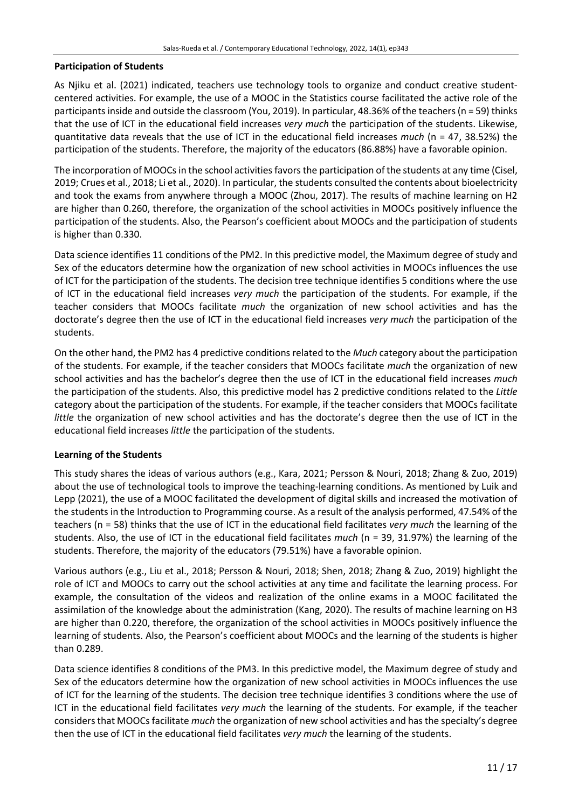## **Participation of Students**

As Njiku et al. (2021) indicated, teachers use technology tools to organize and conduct creative studentcentered activities. For example, the use of a MOOC in the Statistics course facilitated the active role of the participants inside and outside the classroom (You, 2019). In particular, 48.36% of the teachers (n = 59) thinks that the use of ICT in the educational field increases *very much* the participation of the students. Likewise, quantitative data reveals that the use of ICT in the educational field increases *much* (n = 47, 38.52%) the participation of the students. Therefore, the majority of the educators (86.88%) have a favorable opinion.

The incorporation of MOOCs in the school activities favors the participation of the students at any time (Cisel, 2019; Crues et al., 2018; Li et al., 2020). In particular, the students consulted the contents about bioelectricity and took the exams from anywhere through a MOOC (Zhou, 2017). The results of machine learning on H2 are higher than 0.260, therefore, the organization of the school activities in MOOCs positively influence the participation of the students. Also, the Pearson's coefficient about MOOCs and the participation of students is higher than 0.330.

Data science identifies 11 conditions of the PM2. In this predictive model, the Maximum degree of study and Sex of the educators determine how the organization of new school activities in MOOCs influences the use of ICT for the participation of the students. The decision tree technique identifies 5 conditions where the use of ICT in the educational field increases *very much* the participation of the students. For example, if the teacher considers that MOOCs facilitate *much* the organization of new school activities and has the doctorate's degree then the use of ICT in the educational field increases *very much* the participation of the students.

On the other hand, the PM2 has 4 predictive conditions related to the *Much* category about the participation of the students. For example, if the teacher considers that MOOCs facilitate *much* the organization of new school activities and has the bachelor's degree then the use of ICT in the educational field increases *much* the participation of the students. Also, this predictive model has 2 predictive conditions related to the *Little* category about the participation of the students. For example, if the teacher considers that MOOCs facilitate *little* the organization of new school activities and has the doctorate's degree then the use of ICT in the educational field increases *little* the participation of the students.

## **Learning of the Students**

This study shares the ideas of various authors (e.g., Kara, 2021; Persson & Nouri, 2018; Zhang & Zuo, 2019) about the use of technological tools to improve the teaching-learning conditions. As mentioned by Luik and Lepp (2021), the use of a MOOC facilitated the development of digital skills and increased the motivation of the students in the Introduction to Programming course. As a result of the analysis performed, 47.54% of the teachers (n = 58) thinks that the use of ICT in the educational field facilitates *very much* the learning of the students. Also, the use of ICT in the educational field facilitates *much* (n = 39, 31.97%) the learning of the students. Therefore, the majority of the educators (79.51%) have a favorable opinion.

Various authors (e.g., Liu et al., 2018; Persson & Nouri, 2018; Shen, 2018; Zhang & Zuo, 2019) highlight the role of ICT and MOOCs to carry out the school activities at any time and facilitate the learning process. For example, the consultation of the videos and realization of the online exams in a MOOC facilitated the assimilation of the knowledge about the administration (Kang, 2020). The results of machine learning on H3 are higher than 0.220, therefore, the organization of the school activities in MOOCs positively influence the learning of students. Also, the Pearson's coefficient about MOOCs and the learning of the students is higher than 0.289.

Data science identifies 8 conditions of the PM3. In this predictive model, the Maximum degree of study and Sex of the educators determine how the organization of new school activities in MOOCs influences the use of ICT for the learning of the students. The decision tree technique identifies 3 conditions where the use of ICT in the educational field facilitates *very much* the learning of the students. For example, if the teacher considersthat MOOCsfacilitate *much* the organization of new school activities and hasthe specialty's degree then the use of ICT in the educational field facilitates *very much* the learning of the students.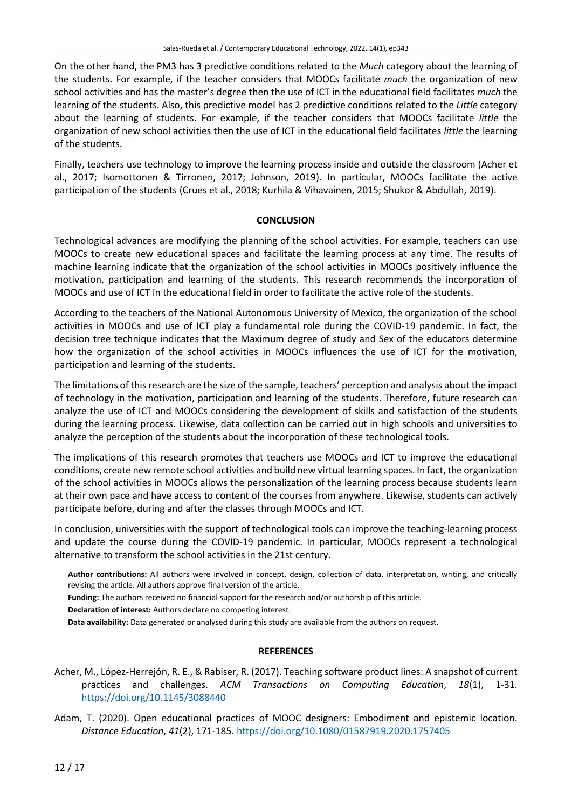On the other hand, the PM3 has 3 predictive conditions related to the *Much* category about the learning of the students. For example, if the teacher considers that MOOCs facilitate *much* the organization of new school activities and has the master's degree then the use of ICT in the educational field facilitates *much* the learning of the students. Also, this predictive model has 2 predictive conditions related to the *Little* category about the learning of students. For example, if the teacher considers that MOOCs facilitate *little* the organization of new school activities then the use of ICT in the educational field facilitates *little* the learning of the students.

Finally, teachers use technology to improve the learning process inside and outside the classroom (Acher et al., 2017; Isomottonen & Tirronen, 2017; Johnson, 2019). In particular, MOOCs facilitate the active participation of the students (Crues et al., 2018; Kurhila & Vihavainen, 2015; Shukor & Abdullah, 2019).

## **CONCLUSION**

Technological advances are modifying the planning of the school activities. For example, teachers can use MOOCs to create new educational spaces and facilitate the learning process at any time. The results of machine learning indicate that the organization of the school activities in MOOCs positively influence the motivation, participation and learning of the students. This research recommends the incorporation of MOOCs and use of ICT in the educational field in order to facilitate the active role of the students.

According to the teachers of the National Autonomous University of Mexico, the organization of the school activities in MOOCs and use of ICT play a fundamental role during the COVID-19 pandemic. In fact, the decision tree technique indicates that the Maximum degree of study and Sex of the educators determine how the organization of the school activities in MOOCs influences the use of ICT for the motivation, participation and learning of the students.

The limitations of this research are the size of the sample, teachers' perception and analysis about the impact of technology in the motivation, participation and learning of the students. Therefore, future research can analyze the use of ICT and MOOCs considering the development of skills and satisfaction of the students during the learning process. Likewise, data collection can be carried out in high schools and universities to analyze the perception of the students about the incorporation of these technological tools.

The implications of this research promotes that teachers use MOOCs and ICT to improve the educational conditions, create new remote school activities and build new virtual learning spaces. In fact, the organization of the school activities in MOOCs allows the personalization of the learning process because students learn at their own pace and have access to content of the courses from anywhere. Likewise, students can actively participate before, during and after the classes through MOOCs and ICT.

In conclusion, universities with the support of technological tools can improve the teaching-learning process and update the course during the COVID-19 pandemic. In particular, MOOCs represent a technological alternative to transform the school activities in the 21st century.

**Author contributions:** All authors were involved in concept, design, collection of data, interpretation, writing, and critically revising the article. All authors approve final version of the article.

**Funding:** The authors received no financial support for the research and/or authorship of this article.

**Declaration of interest:** Authors declare no competing interest.

**Data availability:** Data generated or analysed during this study are available from the authors on request.

## **REFERENCES**

- Acher, M., López-Herrejón, R. E., & Rabiser, R. (2017). Teaching software product lines: A snapshot of current practices and challenges. *ACM Transactions on Computing Education*, *18*(1), 1-31. <https://doi.org/10.1145/3088440>
- Adam, T. (2020). Open educational practices of MOOC designers: Embodiment and epistemic location. *Distance Education*, *41*(2), 171-185. <https://doi.org/10.1080/01587919.2020.1757405>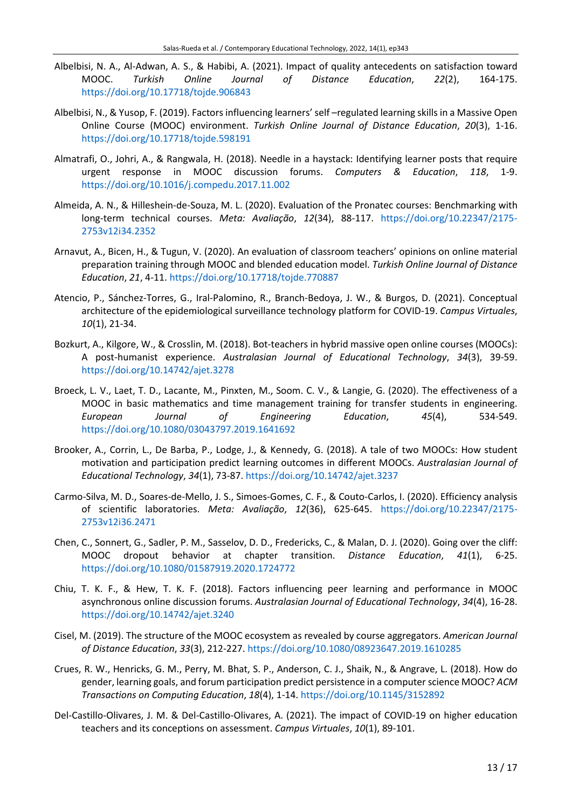- Albelbisi, N. A., Al-Adwan, A. S., & Habibi, A. (2021). Impact of quality antecedents on satisfaction toward MOOC. *Turkish Online Journal of Distance Education*, *22*(2), 164-175. <https://doi.org/10.17718/tojde.906843>
- Albelbisi, N., & Yusop, F. (2019). Factorsinfluencing learners' self –regulated learning skills in a Massive Open Online Course (MOOC) environment. *Turkish Online Journal of Distance Education*, *20*(3), 1-16. <https://doi.org/10.17718/tojde.598191>
- Almatrafi, O., Johri, A., & Rangwala, H. (2018). Needle in a haystack: Identifying learner posts that require urgent response in MOOC discussion forums. *Computers & Education*, *118*, 1-9. <https://doi.org/10.1016/j.compedu.2017.11.002>
- Almeida, A. N., & Hilleshein-de-Souza, M. L. (2020). Evaluation of the Pronatec courses: Benchmarking with long-term technical courses. *Meta: Avaliação*, *12*(34), 88-117. [https://doi.org/10.22347/2175-](https://doi.org/10.22347/2175-2753v12i34.2352) [2753v12i34.2352](https://doi.org/10.22347/2175-2753v12i34.2352)
- Arnavut, A., Bicen, H., & Tugun, V. (2020). An evaluation of classroom teachers' opinions on online material preparation training through MOOC and blended education model. *Turkish Online Journal of Distance Education*, *21*, 4-11. <https://doi.org/10.17718/tojde.770887>
- Atencio, P., Sánchez-Torres, G., Iral-Palomino, R., Branch-Bedoya, J. W., & Burgos, D. (2021). Conceptual architecture of the epidemiological surveillance technology platform for COVID-19. *Campus Virtuales*, *10*(1), 21-34.
- Bozkurt, A., Kilgore, W., & Crosslin, M. (2018). Bot-teachers in hybrid massive open online courses (MOOCs): A post-humanist experience. *Australasian Journal of Educational Technology*, *34*(3), 39-59. <https://doi.org/10.14742/ajet.3278>
- Broeck, L. V., Laet, T. D., Lacante, M., Pinxten, M., Soom. C. V., & Langie, G. (2020). The effectiveness of a MOOC in basic mathematics and time management training for transfer students in engineering. *European Journal of Engineering Education*, *45*(4), 534-549. <https://doi.org/10.1080/03043797.2019.1641692>
- Brooker, A., Corrin, L., De Barba, P., Lodge, J., & Kennedy, G. (2018). A tale of two MOOCs: How student motivation and participation predict learning outcomes in different MOOCs. *Australasian Journal of Educational Technology*, *34*(1), 73-87. <https://doi.org/10.14742/ajet.3237>
- Carmo-Silva, M. D., Soares-de-Mello, J. S., Simoes-Gomes, C. F., & Couto-Carlos, I. (2020). Efficiency analysis of scientific laboratories. *Meta: Avaliação*, *12*(36), 625-645. [https://doi.org/10.22347/2175-](https://doi.org/10.22347/2175-2753v12i36.2471) [2753v12i36.2471](https://doi.org/10.22347/2175-2753v12i36.2471)
- Chen, C., Sonnert, G., Sadler, P. M., Sasselov, D. D., Fredericks, C., & Malan, D. J. (2020). Going over the cliff: MOOC dropout behavior at chapter transition. *Distance Education*, *41*(1), 6-25. <https://doi.org/10.1080/01587919.2020.1724772>
- Chiu, T. K. F., & Hew, T. K. F. (2018). Factors influencing peer learning and performance in MOOC asynchronous online discussion forums. *Australasian Journal of Educational Technology*, *34*(4), 16-28. <https://doi.org/10.14742/ajet.3240>
- Cisel, M. (2019). The structure of the MOOC ecosystem as revealed by course aggregators. *American Journal of Distance Education*, *33*(3), 212-227. <https://doi.org/10.1080/08923647.2019.1610285>
- Crues, R. W., Henricks, G. M., Perry, M. Bhat, S. P., Anderson, C. J., Shaik, N., & Angrave, L. (2018). How do gender, learning goals, and forum participation predict persistence in a computerscience MOOC? *ACM Transactions on Computing Education*, *18*(4), 1-14. <https://doi.org/10.1145/3152892>
- Del-Castillo-Olivares, J. M. & Del-Castillo-Olivares, A. (2021). The impact of COVID-19 on higher education teachers and its conceptions on assessment. *Campus Virtuales*, *10*(1), 89-101.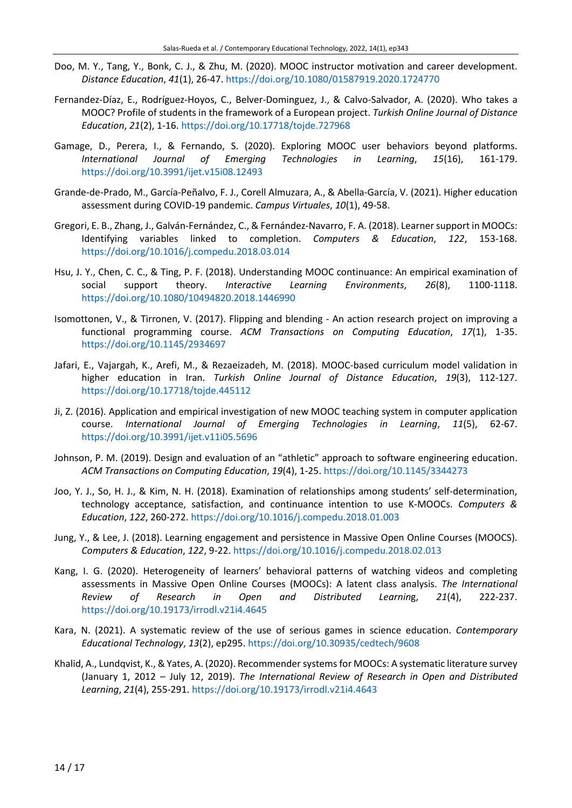- Doo, M. Y., Tang, Y., Bonk, C. J., & Zhu, M. (2020). MOOC instructor motivation and career development. *Distance Education*, *41*(1), 26-47. <https://doi.org/10.1080/01587919.2020.1724770>
- Fernandez-Díaz, E., Rodríguez-Hoyos, C., Belver-Dominguez, J., & Calvo-Salvador, A. (2020). Who takes a MOOC? Profile of students in the framework of a European project. *Turkish Online Journal of Distance Education*, *21*(2), 1-16. <https://doi.org/10.17718/tojde.727968>
- Gamage, D., Perera, I., & Fernando, S. (2020). Exploring MOOC user behaviors beyond platforms. *International Journal of Emerging Technologies in Learning*, *15*(16), 161-179. <https://doi.org/10.3991/ijet.v15i08.12493>
- Grande-de-Prado, M., García-Peñalvo, F. J., Corell Almuzara, A., & Abella-García, V. (2021). Higher education assessment during COVID-19 pandemic. *Campus Virtuales*, *10*(1), 49-58.
- Gregori, E. B., Zhang, J., Galván-Fernández, C., & Fernández-Navarro, F. A. (2018). Learnersupport in MOOCs: Identifying variables linked to completion. *Computers & Education*, *122*, 153-168. <https://doi.org/10.1016/j.compedu.2018.03.014>
- Hsu, J. Y., Chen, C. C., & Ting, P. F. (2018). Understanding MOOC continuance: An empirical examination of social support theory. *Interactive Learning Environments*, *26*(8), 1100-1118. <https://doi.org/10.1080/10494820.2018.1446990>
- Isomottonen, V., & Tirronen, V. (2017). Flipping and blending An action research project on improving a functional programming course. *ACM Transactions on Computing Education*, *17*(1), 1-35. <https://doi.org/10.1145/2934697>
- Jafari, E., Vajargah, K., Arefi, M., & Rezaeizadeh, M. (2018). MOOC-based curriculum model validation in higher education in Iran. *Turkish Online Journal of Distance Education*, *19*(3), 112-127. <https://doi.org/10.17718/tojde.445112>
- Ji, Z. (2016). Application and empirical investigation of new MOOC teaching system in computer application course. *International Journal of Emerging Technologies in Learning*, *11*(5), 62-67. <https://doi.org/10.3991/ijet.v11i05.5696>
- Johnson, P. M. (2019). Design and evaluation of an "athletic" approach to software engineering education. *ACM Transactions on Computing Education*, *19*(4), 1-25. <https://doi.org/10.1145/3344273>
- Joo, Y. J., So, H. J., & Kim, N. H. (2018). Examination of relationships among students' self-determination, technology acceptance, satisfaction, and continuance intention to use K-MOOCs. *Computers & Education*, *122*, 260-272. <https://doi.org/10.1016/j.compedu.2018.01.003>
- Jung, Y., & Lee, J. (2018). Learning engagement and persistence in Massive Open Online Courses (MOOCS). *Computers & Education*, *122*, 9-22. <https://doi.org/10.1016/j.compedu.2018.02.013>
- Kang, I. G. (2020). Heterogeneity of learners' behavioral patterns of watching videos and completing assessments in Massive Open Online Courses (MOOCs): A latent class analysis. *The International Review of Research in Open and Distributed Learnin*g, *21*(4), 222-237. <https://doi.org/10.19173/irrodl.v21i4.4645>
- Kara, N. (2021). A systematic review of the use of serious games in science education. *Contemporary Educational Technology*, *13*(2), ep295. <https://doi.org/10.30935/cedtech/9608>
- Khalid, A., Lundqvist, K., & Yates, A. (2020). Recommender systems for MOOCs: A systematic literature survey (January 1, 2012 – July 12, 2019). *The International Review of Research in Open and Distributed Learning*, *21*(4), 255-291. <https://doi.org/10.19173/irrodl.v21i4.4643>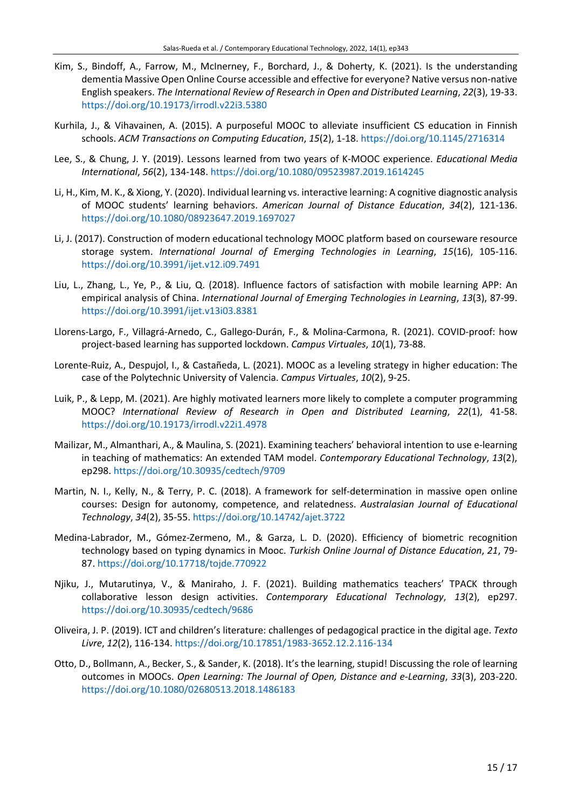- Kim, S., Bindoff, A., Farrow, M., McInerney, F., Borchard, J., & Doherty, K. (2021). Is the understanding dementia Massive Open Online Course accessible and effective for everyone? Native versus non-native English speakers. *The International Review of Research in Open and Distributed Learning*, *22*(3), 19-33. <https://doi.org/10.19173/irrodl.v22i3.5380>
- Kurhila, J., & Vihavainen, A. (2015). A purposeful MOOC to alleviate insufficient CS education in Finnish schools. *ACM Transactions on Computing Education*, *15*(2), 1-18. <https://doi.org/10.1145/2716314>
- Lee, S., & Chung, J. Y. (2019). Lessons learned from two years of K-MOOC experience. *Educational Media International*, *56*(2), 134-148. <https://doi.org/10.1080/09523987.2019.1614245>
- Li, H., Kim, M. K., & Xiong, Y. (2020). Individual learning vs. interactive learning: A cognitive diagnostic analysis of MOOC students' learning behaviors. *American Journal of Distance Education*, *34*(2), 121-136. <https://doi.org/10.1080/08923647.2019.1697027>
- Li, J. (2017). Construction of modern educational technology MOOC platform based on courseware resource storage system. *International Journal of Emerging Technologies in Learning*, *15*(16), 105-116. <https://doi.org/10.3991/ijet.v12.i09.7491>
- Liu, L., Zhang, L., Ye, P., & Liu, Q. (2018). Influence factors of satisfaction with mobile learning APP: An empirical analysis of China. *International Journal of Emerging Technologies in Learning*, *13*(3), 87-99. <https://doi.org/10.3991/ijet.v13i03.8381>
- Llorens-Largo, F., Villagrá-Arnedo, C., Gallego-Durán, F., & Molina-Carmona, R. (2021). COVID-proof: how project-based learning has supported lockdown. *Campus Virtuales*, *10*(1), 73-88.
- Lorente-Ruiz, A., Despujol, I., & Castañeda, L. (2021). MOOC as a leveling strategy in higher education: The case of the Polytechnic University of Valencia. *Campus Virtuales*, *10*(2), 9-25.
- Luik, P., & Lepp, M. (2021). Are highly motivated learners more likely to complete a computer programming MOOC? *International Review of Research in Open and Distributed Learning*, *22*(1), 41-58. <https://doi.org/10.19173/irrodl.v22i1.4978>
- Mailizar, M., Almanthari, A., & Maulina, S. (2021). Examining teachers' behavioral intention to use e-learning in teaching of mathematics: An extended TAM model. *Contemporary Educational Technology*, *13*(2), ep298. <https://doi.org/10.30935/cedtech/9709>
- Martin, N. I., Kelly, N., & Terry, P. C. (2018). A framework for self-determination in massive open online courses: Design for autonomy, competence, and relatedness. *Australasian Journal of Educational Technology*, *34*(2), 35-55. <https://doi.org/10.14742/ajet.3722>
- Medina-Labrador, M., Gómez-Zermeno, M., & Garza, L. D. (2020). Efficiency of biometric recognition technology based on typing dynamics in Mooc. *Turkish Online Journal of Distance Education*, *21*, 79- 87. <https://doi.org/10.17718/tojde.770922>
- Njiku, J., Mutarutinya, V., & Maniraho, J. F. (2021). Building mathematics teachers' TPACK through collaborative lesson design activities. *Contemporary Educational Technology*, *13*(2), ep297. <https://doi.org/10.30935/cedtech/9686>
- Oliveira, J. P. (2019). ICT and children's literature: challenges of pedagogical practice in the digital age. *Texto Livre*, *12*(2), 116-134. <https://doi.org/10.17851/1983-3652.12.2.116-134>
- Otto, D., Bollmann, A., Becker, S., & Sander, K. (2018). It's the learning, stupid! Discussing the role of learning outcomes in MOOCs. *Open Learning: The Journal of Open, Distance and e-Learning*, *33*(3), 203-220. <https://doi.org/10.1080/02680513.2018.1486183>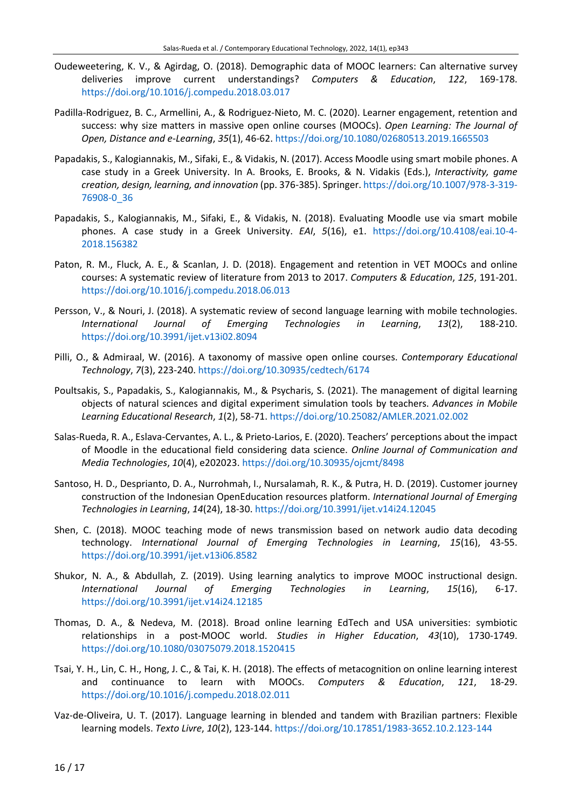- Oudeweetering, K. V., & Agirdag, O. (2018). Demographic data of MOOC learners: Can alternative survey deliveries improve current understandings? *Computers & Education*, *122*, 169-178. <https://doi.org/10.1016/j.compedu.2018.03.017>
- Padilla-Rodriguez, B. C., Armellini, A., & Rodriguez-Nieto, M. C. (2020). Learner engagement, retention and success: why size matters in massive open online courses (MOOCs). *Open Learning: The Journal of Open, Distance and e-Learning*, *35*(1), 46-62. <https://doi.org/10.1080/02680513.2019.1665503>
- Papadakis, S., Kalogiannakis, M., Sifaki, E., & Vidakis, N. (2017). Access Moodle using smart mobile phones. A case study in a Greek University. In A. Brooks, E. Brooks, & N. Vidakis (Eds.), *Interactivity, game creation, design, learning, and innovation* (pp. 376-385). Springer. [https://doi.org/10.1007/978-3-319-](https://doi.org/10.1007/978-3-319-76908-0_36) [76908-0\\_36](https://doi.org/10.1007/978-3-319-76908-0_36)
- Papadakis, S., Kalogiannakis, M., Sifaki, E., & Vidakis, N. (2018). Evaluating Moodle use via smart mobile phones. A case study in a Greek University. *EAI*, *5*(16), e1. [https://doi.org/10.4108/eai.10-4-](https://doi.org/10.4108/eai.10-4-2018.156382) [2018.156382](https://doi.org/10.4108/eai.10-4-2018.156382)
- Paton, R. M., Fluck, A. E., & Scanlan, J. D. (2018). Engagement and retention in VET MOOCs and online courses: A systematic review of literature from 2013 to 2017. *Computers & Education*, *125*, 191-201. <https://doi.org/10.1016/j.compedu.2018.06.013>
- Persson, V., & Nouri, J. (2018). A systematic review of second language learning with mobile technologies. *International Journal of Emerging Technologies in Learning*, *13*(2), 188-210. <https://doi.org/10.3991/ijet.v13i02.8094>
- Pilli, O., & Admiraal, W. (2016). A taxonomy of massive open online courses. *Contemporary Educational Technology*, *7*(3), 223-240. <https://doi.org/10.30935/cedtech/6174>
- Poultsakis, S., Papadakis, S., Kalogiannakis, M., & Psycharis, S. (2021). The management of digital learning objects of natural sciences and digital experiment simulation tools by teachers. *Advances in Mobile Learning Educational Research*, *1*(2), 58-71. <https://doi.org/10.25082/AMLER.2021.02.002>
- Salas-Rueda, R. A., Eslava-Cervantes, A. L., & Prieto-Larios, E. (2020). Teachers' perceptions about the impact of Moodle in the educational field considering data science. *Online Journal of Communication and Media Technologies*, *10*(4), e202023. <https://doi.org/10.30935/ojcmt/8498>
- Santoso, H. D., Desprianto, D. A., Nurrohmah, I., Nursalamah, R. K., & Putra, H. D. (2019). Customer journey construction of the Indonesian OpenEducation resources platform. *International Journal of Emerging Technologies in Learning*, *14*(24), 18-30. <https://doi.org/10.3991/ijet.v14i24.12045>
- Shen, C. (2018). MOOC teaching mode of news transmission based on network audio data decoding technology. *International Journal of Emerging Technologies in Learning*, *15*(16), 43-55. <https://doi.org/10.3991/ijet.v13i06.8582>
- Shukor, N. A., & Abdullah, Z. (2019). Using learning analytics to improve MOOC instructional design. *International Journal of Emerging Technologies in Learning*, *15*(16), 6-17. <https://doi.org/10.3991/ijet.v14i24.12185>
- Thomas, D. A., & Nedeva, M. (2018). Broad online learning EdTech and USA universities: symbiotic relationships in a post-MOOC world. *Studies in Higher Education*, *43*(10), 1730-1749. <https://doi.org/10.1080/03075079.2018.1520415>
- Tsai, Y. H., Lin, C. H., Hong, J. C., & Tai, K. H. (2018). The effects of metacognition on online learning interest and continuance to learn with MOOCs. *Computers & Education*, *121*, 18-29. <https://doi.org/10.1016/j.compedu.2018.02.011>
- Vaz-de-Oliveira, U. T. (2017). Language learning in blended and tandem with Brazilian partners: Flexible learning models. *Texto Livre*, *10*(2), 123-144. <https://doi.org/10.17851/1983-3652.10.2.123-144>